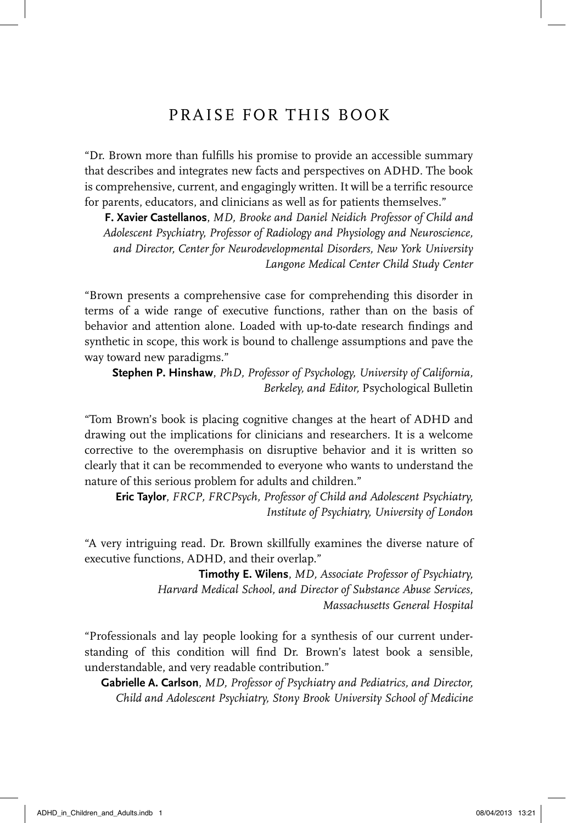## PRAISE FOR THIS BOOK

"Dr. Brown more than fulfills his promise to provide an accessible summary that describes and integrates new facts and perspectives on ADHD. The book is comprehensive, current, and engagingly written. It will be a terrific resource for parents, educators, and clinicians as well as for patients themselves."

**F. Xavier Castellanos**, *MD, Brooke and Daniel Neidich Professor of Child and Adolescent Psychiatry, Professor of Radiology and Physiology and Neuroscience, and Director, Center for Neurodevelopmental Disorders, New York University Langone Medical Center Child Study Center*

"Brown presents a comprehensive case for comprehending this disorder in terms of a wide range of executive functions, rather than on the basis of behavior and attention alone. Loaded with up-to-date research findings and synthetic in scope, this work is bound to challenge assumptions and pave the way toward new paradigms."

**Stephen P. Hinshaw**, *PhD, Professor of Psychology, University of California, Berkeley, and Editor,* Psychological Bulletin

"Tom Brown's book is placing cognitive changes at the heart of ADHD and drawing out the implications for clinicians and researchers. It is a welcome corrective to the overemphasis on disruptive behavior and it is written so clearly that it can be recommended to everyone who wants to understand the nature of this serious problem for adults and children."

**Eric Taylor**, *FRCP, FRCPsych, Professor of Child and Adolescent Psychiatry, Institute of Psychiatry, University of London*

"A very intriguing read. Dr. Brown skillfully examines the diverse nature of executive functions, ADHD, and their overlap."

> **Timothy E. Wilens**, *MD, Associate Professor of Psychiatry, Harvard Medical School, and Director of Substance Abuse Services, Massachusetts General Hospital*

"Professionals and lay people looking for a synthesis of our current understanding of this condition will find Dr. Brown's latest book a sensible, understandable, and very readable contribution."

**Gabrielle A. Carlson**, *MD, Professor of Psychiatry and Pediatrics, and Director, Child and Adolescent Psychiatry, Stony Brook University School of Medicine*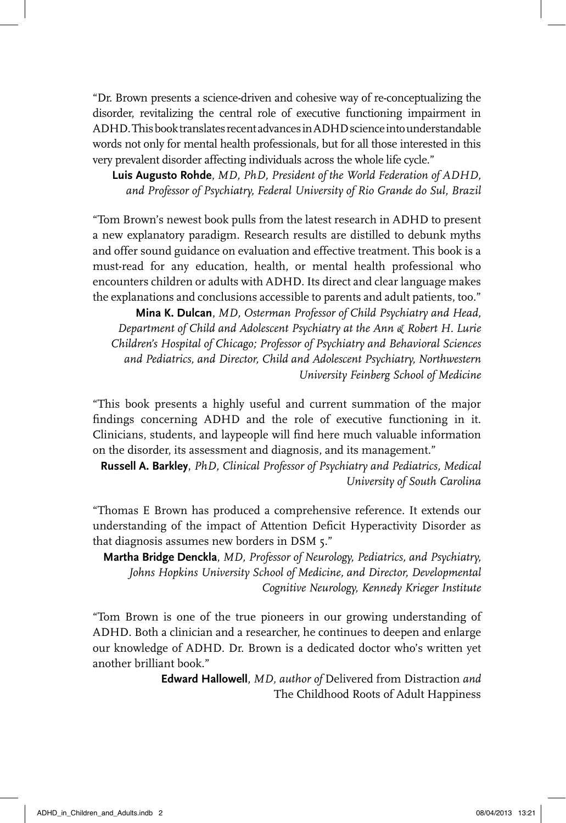"Dr. Brown presents a science-driven and cohesive way of re-conceptualizing the disorder, revitalizing the central role of executive functioning impairment in ADHD. This book translates recent advances in ADHD science into understandable words not only for mental health professionals, but for all those interested in this very prevalent disorder affecting individuals across the whole life cycle."

**Luis Augusto Rohde**, *MD, PhD, President of the World Federation of ADHD, and Professor of Psychiatry, Federal University of Rio Grande do Sul, Brazil*

"Tom Brown's newest book pulls from the latest research in ADHD to present a new explanatory paradigm. Research results are distilled to debunk myths and offer sound guidance on evaluation and effective treatment. This book is a must-read for any education, health, or mental health professional who encounters children or adults with ADHD. Its direct and clear language makes the explanations and conclusions accessible to parents and adult patients, too."

**Mina K. Dulcan**, *MD, Osterman Professor of Child Psychiatry and Head, Department of Child and Adolescent Psychiatry at the Ann & Robert H. Lurie Children's Hospital of Chicago; Professor of Psychiatry and Behavioral Sciences and Pediatrics, and Director, Child and Adolescent Psychiatry, Northwestern University Feinberg School of Medicine*

"This book presents a highly useful and current summation of the major findings concerning ADHD and the role of executive functioning in it. Clinicians, students, and laypeople will find here much valuable information on the disorder, its assessment and diagnosis, and its management."

**Russell A. Barkley**, *PhD, Clinical Professor of Psychiatry and Pediatrics, Medical University of South Carolina*

"Thomas E Brown has produced a comprehensive reference. It extends our understanding of the impact of Attention Deficit Hyperactivity Disorder as that diagnosis assumes new borders in DSM 5."

**Martha Bridge Denckla**, *MD, Professor of Neurology, Pediatrics, and Psychiatry, Johns Hopkins University School of Medicine, and Director, Developmental Cognitive Neurology, Kennedy Krieger Institute*

"Tom Brown is one of the true pioneers in our growing understanding of ADHD. Both a clinician and a researcher, he continues to deepen and enlarge our knowledge of ADHD. Dr. Brown is a dedicated doctor who's written yet another brilliant book."

> **Edward Hallowell**, *MD, author of* Delivered from Distraction *and* The Childhood Roots of Adult Happiness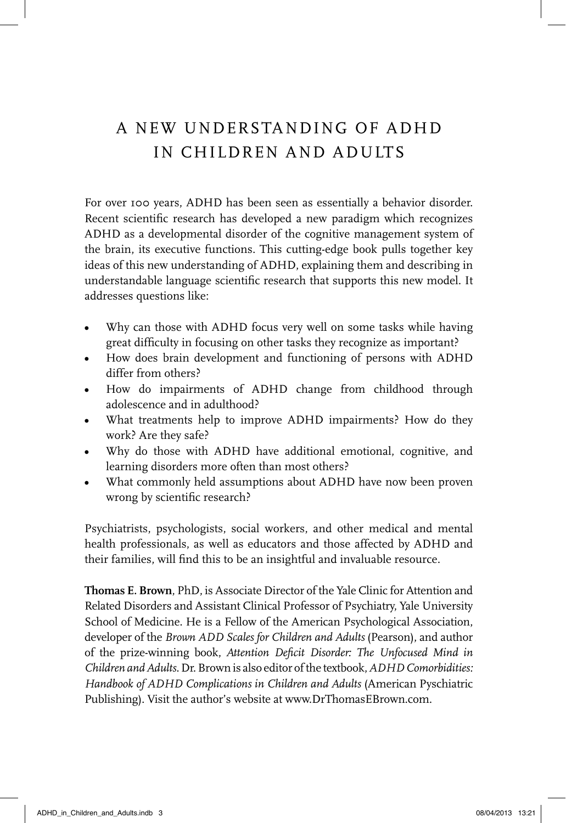## A New Understanding of ADHD in Children and Adults

For over 100 years, ADHD has been seen as essentially a behavior disorder. Recent scientific research has developed a new paradigm which recognizes ADHD as a developmental disorder of the cognitive management system of the brain, its executive functions. This cutting-edge book pulls together key ideas of this new understanding of ADHD, explaining them and describing in understandable language scientific research that supports this new model. It addresses questions like:

- **•** Why can those with ADHD focus very well on some tasks while having great difficulty in focusing on other tasks they recognize as important?
- **•** How does brain development and functioning of persons with ADHD differ from others?
- **•** How do impairments of ADHD change from childhood through adolescence and in adulthood?
- **•** What treatments help to improve ADHD impairments? How do they work? Are they safe?
- **•** Why do those with ADHD have additional emotional, cognitive, and learning disorders more often than most others?
- **•** What commonly held assumptions about ADHD have now been proven wrong by scientific research?

Psychiatrists, psychologists, social workers, and other medical and mental health professionals, as well as educators and those affected by ADHD and their families, will find this to be an insightful and invaluable resource.

**Thomas E. Brown**, PhD, is Associate Director of the Yale Clinic for Attention and Related Disorders and Assistant Clinical Professor of Psychiatry, Yale University School of Medicine. He is a Fellow of the American Psychological Association, developer of the *Brown ADD Scales for Children and Adults* (Pearson), and author of the prize-winning book, *Attention Deficit Disorder: The Unfocused Mind in Children and Adults*. Dr. Brown is also editor of the textbook, *ADHD Comorbidities: Handbook of ADHD Complications in Children and Adults* (American Pyschiatric Publishing). Visit the author's website at www.DrThomasEBrown.com.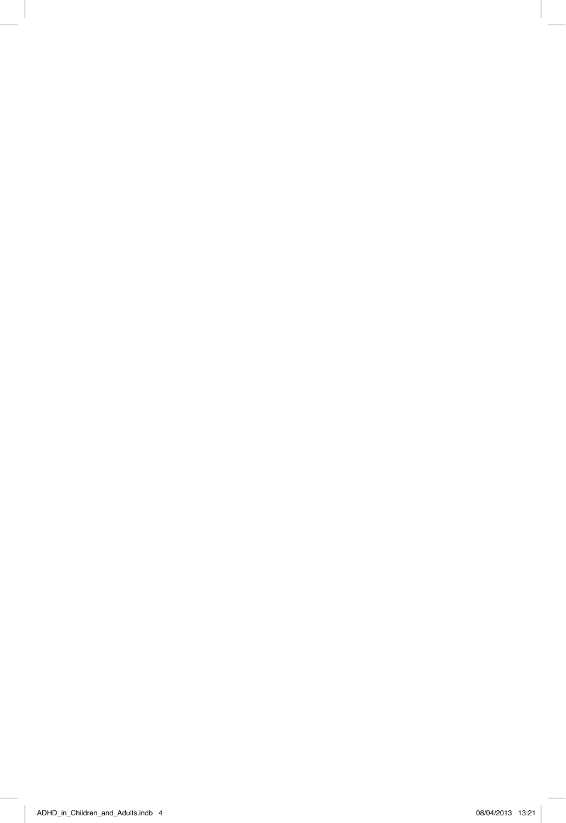$\overline{\phantom{a}}$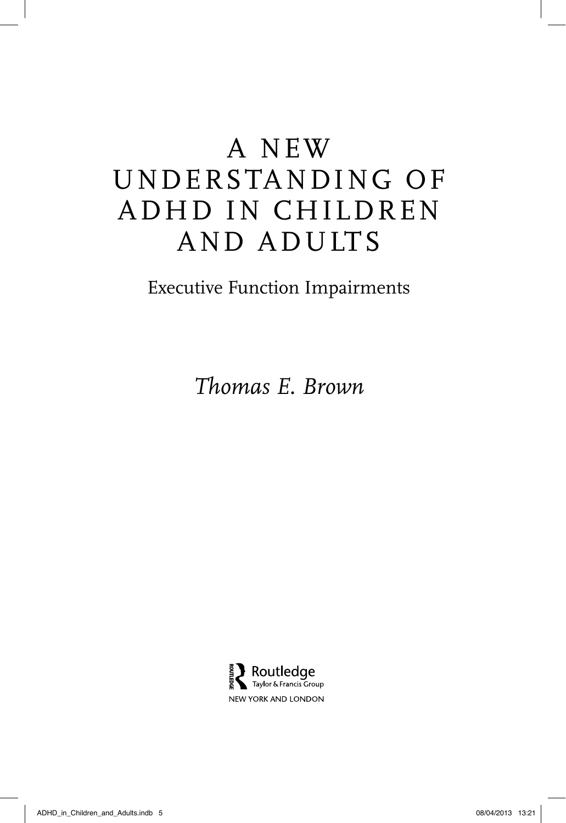# A New Understanding of ADHD in Children AND ADULTS

Executive Function Impairments

*Thomas E. Brown*

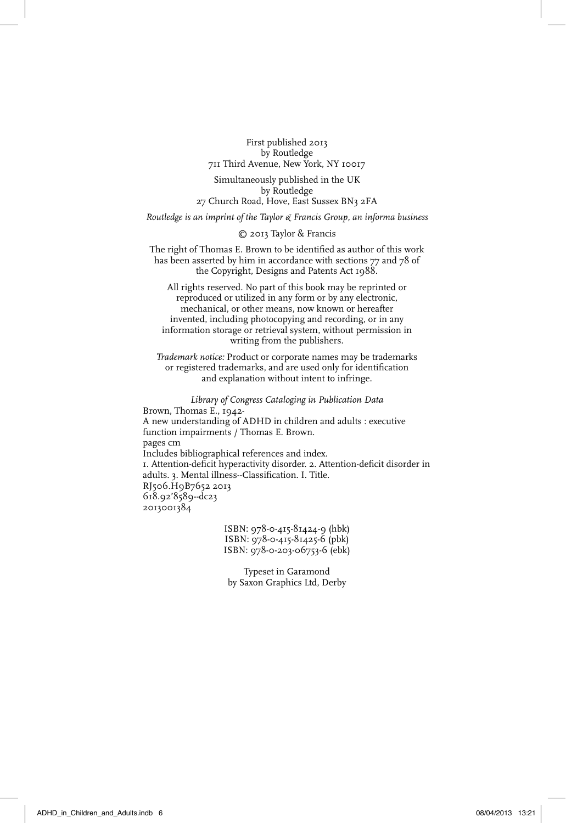First published 2013 by Routledge 711 Third Avenue, New York, NY 10017

Simultaneously published in the UK by Routledge 27 Church Road, Hove, East Sussex BN3 2FA

*Routledge is an imprint of the Taylor & Francis Group, an informa business*

© 2013 Taylor & Francis

The right of Thomas E. Brown to be identified as author of this work has been asserted by him in accordance with sections 77 and 78 of the Copyright, Designs and Patents Act 1988.

All rights reserved. No part of this book may be reprinted or reproduced or utilized in any form or by any electronic, mechanical, or other means, now known or hereafter invented, including photocopying and recording, or in any information storage or retrieval system, without permission in writing from the publishers.

*Trademark notice:* Product or corporate names may be trademarks or registered trademarks, and are used only for identification and explanation without intent to infringe.

*Library of Congress Cataloging in Publication Data* Brown, Thomas E., 1942- A new understanding of ADHD in children and adults : executive function impairments / Thomas E. Brown. pages cm Includes bibliographical references and index. 1. Attention-deficit hyperactivity disorder. 2. Attention-deficit disorder in adults. 3. Mental illness--Classification. I. Title. RJ506.H9B7652 2013 618.92'8589--dc23 2013001384

> ISBN: 978-0-415-81424-9 (hbk) ISBN: 978-0-415-81425-6 (pbk) ISBN: 978-0-203-06753-6 (ebk)

Typeset in Garamond by Saxon Graphics Ltd, Derby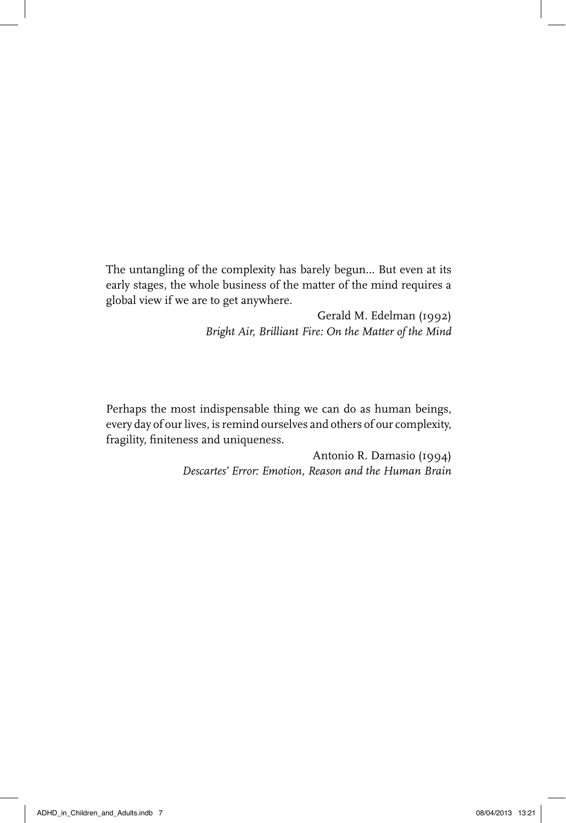The untangling of the complexity has barely begun… But even at its early stages, the whole business of the matter of the mind requires a global view if we are to get anywhere.

> Gerald M. Edelman (1992) *Bright Air, Brilliant Fire: On the Matter of the Mind*

Perhaps the most indispensable thing we can do as human beings, every day of our lives, is remind ourselves and others of our complexity, fragility, finiteness and uniqueness.

> Antonio R. Damasio (1994) *Descartes' Error: Emotion, Reason and the Human Brain*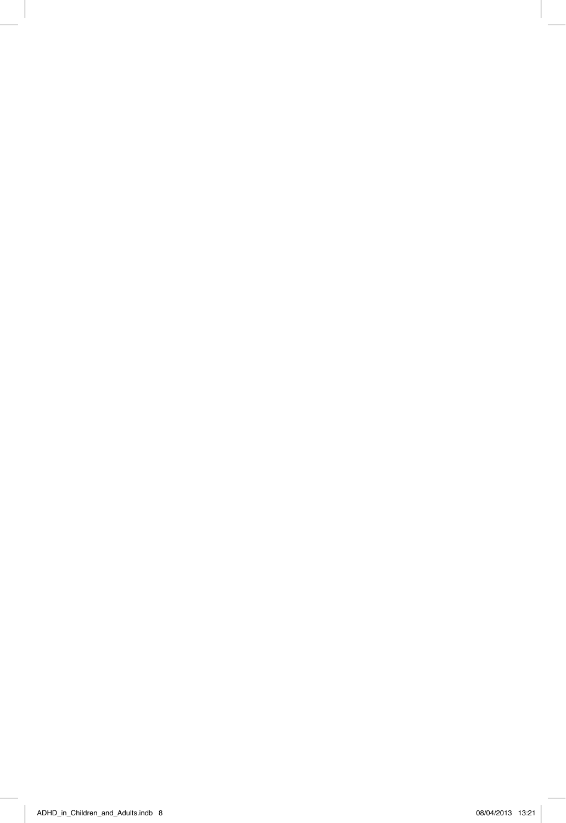$\overline{\phantom{a}}$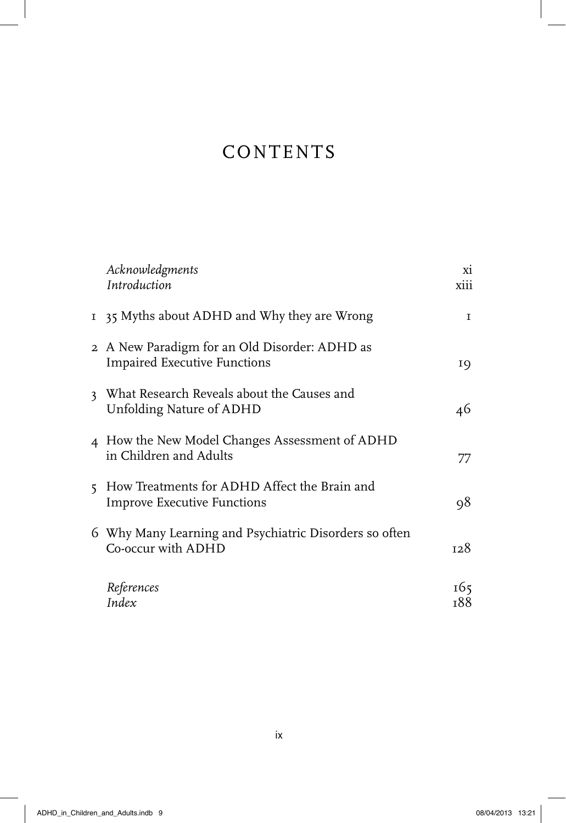## CONTENTS

| Acknowledgments<br>Introduction                                                      | X1<br>xiii   |
|--------------------------------------------------------------------------------------|--------------|
| 1 35 Myths about ADHD and Why they are Wrong                                         | $\mathbf{I}$ |
| 2 A New Paradigm for an Old Disorder: ADHD as<br><b>Impaired Executive Functions</b> | 19           |
| 3 What Research Reveals about the Causes and<br>Unfolding Nature of ADHD             | 46           |
| 4 How the New Model Changes Assessment of ADHD<br>in Children and Adults             | 77           |
| 5 How Treatments for ADHD Affect the Brain and<br><b>Improve Executive Functions</b> | 98           |
| 6 Why Many Learning and Psychiatric Disorders so often<br>Co-occur with ADHD         | 128          |
| References<br>Index                                                                  | 165<br>188   |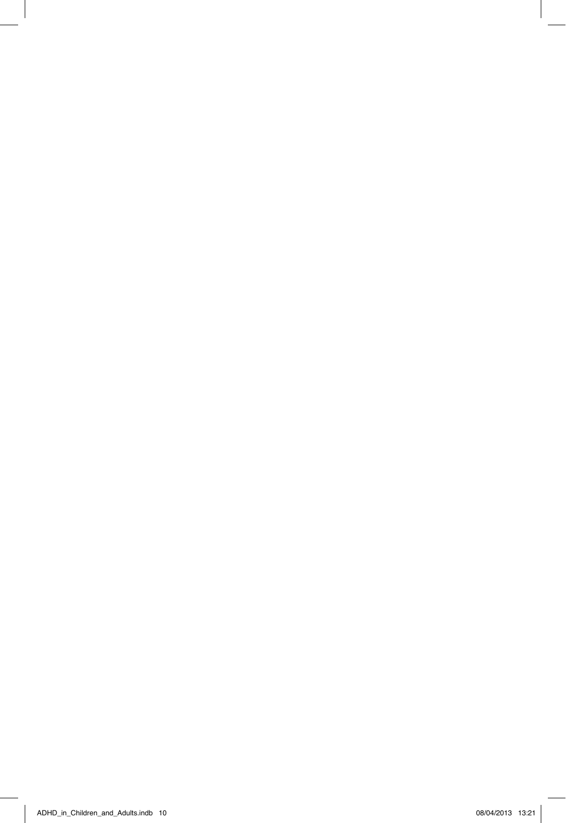$\overline{\phantom{a}}$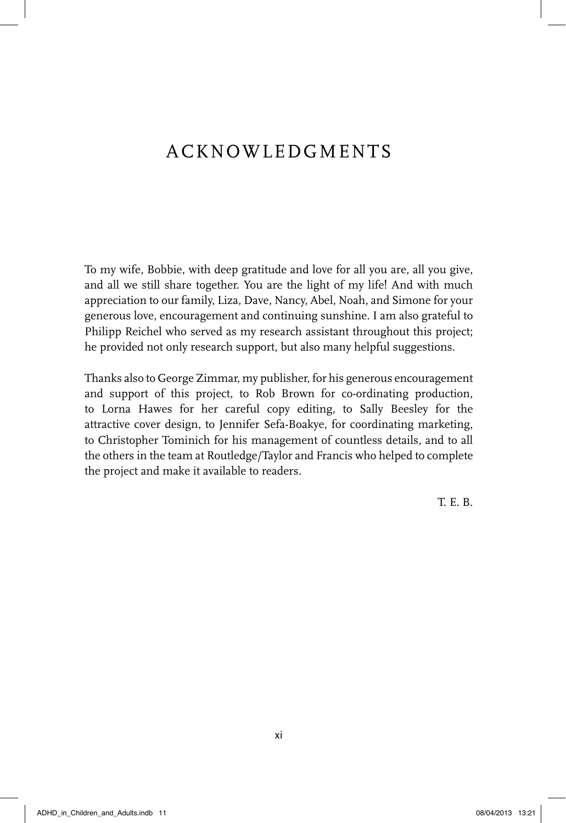## ACKNOWLEDGMENTS

To my wife, Bobbie, with deep gratitude and love for all you are, all you give, and all we still share together. You are the light of my life! And with much appreciation to our family, Liza, Dave, Nancy, Abel, Noah, and Simone for your generous love, encouragement and continuing sunshine. I am also grateful to Philipp Reichel who served as my research assistant throughout this project; he provided not only research support, but also many helpful suggestions.

Thanks also to George Zimmar, my publisher, for his generous encouragement and support of this project, to Rob Brown for co-ordinating production, to Lorna Hawes for her careful copy editing, to Sally Beesley for the attractive cover design, to Jennifer Sefa-Boakye, for coordinating marketing, to Christopher Tominich for his management of countless details, and to all the others in the team at Routledge/Taylor and Francis who helped to complete the project and make it available to readers.

T. E. B.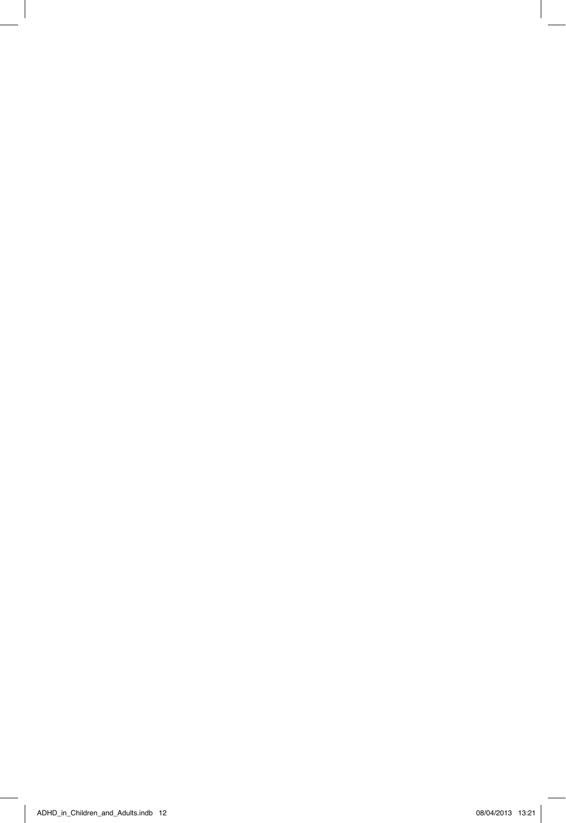$\overline{\phantom{a}}$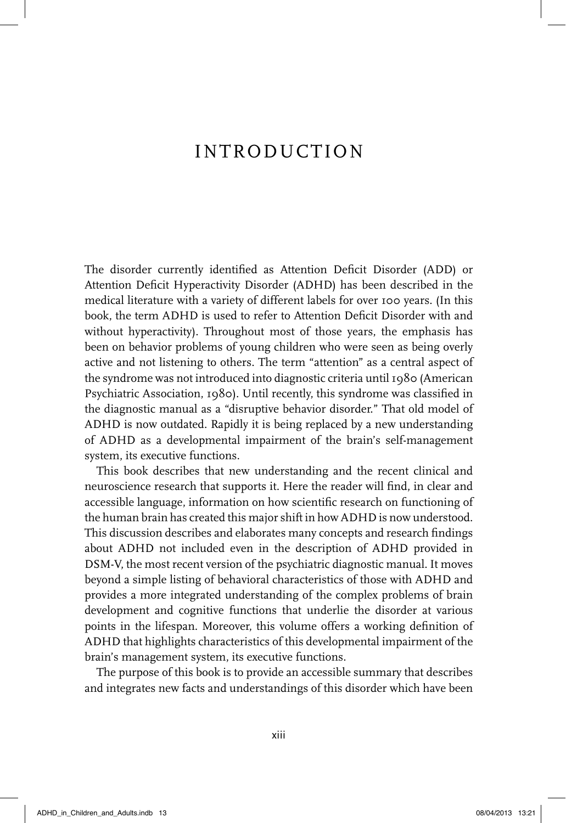## INTRODUCTION

The disorder currently identified as Attention Deficit Disorder (ADD) or Attention Deficit Hyperactivity Disorder (ADHD) has been described in the medical literature with a variety of different labels for over 100 years. (In this book, the term ADHD is used to refer to Attention Deficit Disorder with and without hyperactivity). Throughout most of those years, the emphasis has been on behavior problems of young children who were seen as being overly active and not listening to others. The term "attention" as a central aspect of the syndrome was not introduced into diagnostic criteria until 1980 (American Psychiatric Association, 1980). Until recently, this syndrome was classified in the diagnostic manual as a "disruptive behavior disorder." That old model of ADHD is now outdated. Rapidly it is being replaced by a new understanding of ADHD as a developmental impairment of the brain's self-management system, its executive functions.

This book describes that new understanding and the recent clinical and neuroscience research that supports it. Here the reader will find, in clear and accessible language, information on how scientific research on functioning of the human brain has created this major shift in how ADHD is now understood. This discussion describes and elaborates many concepts and research findings about ADHD not included even in the description of ADHD provided in DSM-V, the most recent version of the psychiatric diagnostic manual. It moves beyond a simple listing of behavioral characteristics of those with ADHD and provides a more integrated understanding of the complex problems of brain development and cognitive functions that underlie the disorder at various points in the lifespan. Moreover, this volume offers a working definition of ADHD that highlights characteristics of this developmental impairment of the brain's management system, its executive functions.

The purpose of this book is to provide an accessible summary that describes and integrates new facts and understandings of this disorder which have been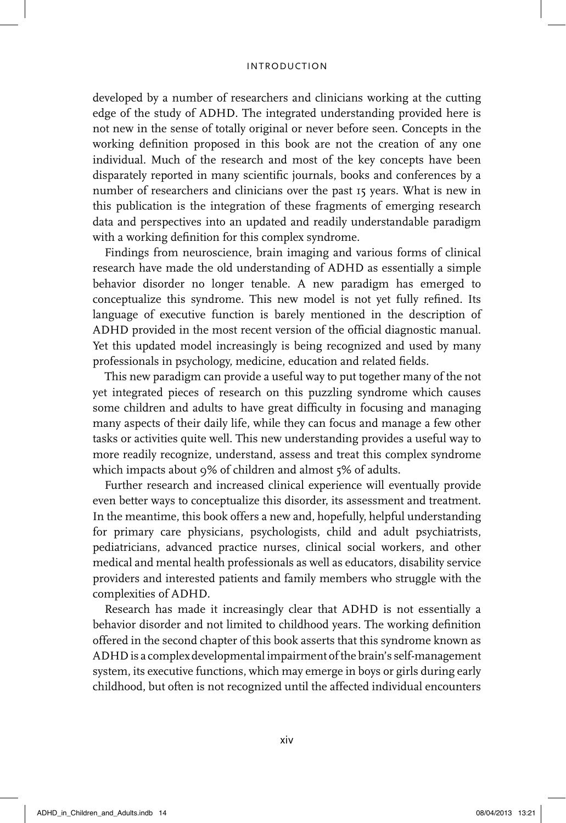#### introduction

developed by a number of researchers and clinicians working at the cutting edge of the study of ADHD. The integrated understanding provided here is not new in the sense of totally original or never before seen. Concepts in the working definition proposed in this book are not the creation of any one individual. Much of the research and most of the key concepts have been disparately reported in many scientific journals, books and conferences by a number of researchers and clinicians over the past 15 years. What is new in this publication is the integration of these fragments of emerging research data and perspectives into an updated and readily understandable paradigm with a working definition for this complex syndrome.

Findings from neuroscience, brain imaging and various forms of clinical research have made the old understanding of ADHD as essentially a simple behavior disorder no longer tenable. A new paradigm has emerged to conceptualize this syndrome. This new model is not yet fully refined. Its language of executive function is barely mentioned in the description of ADHD provided in the most recent version of the official diagnostic manual. Yet this updated model increasingly is being recognized and used by many professionals in psychology, medicine, education and related fields.

This new paradigm can provide a useful way to put together many of the not yet integrated pieces of research on this puzzling syndrome which causes some children and adults to have great difficulty in focusing and managing many aspects of their daily life, while they can focus and manage a few other tasks or activities quite well. This new understanding provides a useful way to more readily recognize, understand, assess and treat this complex syndrome which impacts about 9% of children and almost 5% of adults.

Further research and increased clinical experience will eventually provide even better ways to conceptualize this disorder, its assessment and treatment. In the meantime, this book offers a new and, hopefully, helpful understanding for primary care physicians, psychologists, child and adult psychiatrists, pediatricians, advanced practice nurses, clinical social workers, and other medical and mental health professionals as well as educators, disability service providers and interested patients and family members who struggle with the complexities of ADHD.

Research has made it increasingly clear that ADHD is not essentially a behavior disorder and not limited to childhood years. The working definition offered in the second chapter of this book asserts that this syndrome known as ADHD is a complex developmental impairment of the brain's self-management system, its executive functions, which may emerge in boys or girls during early childhood, but often is not recognized until the affected individual encounters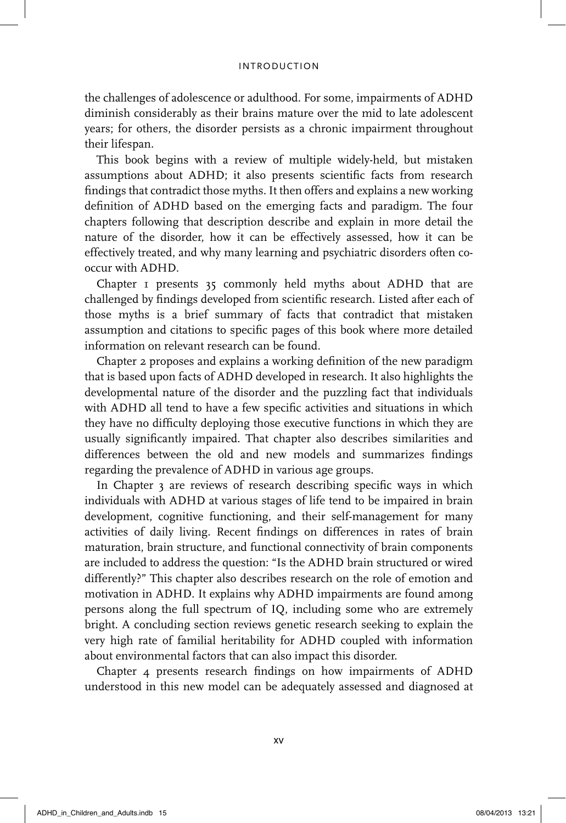#### introduction

the challenges of adolescence or adulthood. For some, impairments of ADHD diminish considerably as their brains mature over the mid to late adolescent years; for others, the disorder persists as a chronic impairment throughout their lifespan.

This book begins with a review of multiple widely-held, but mistaken assumptions about ADHD; it also presents scientific facts from research findings that contradict those myths. It then offers and explains a new working definition of ADHD based on the emerging facts and paradigm. The four chapters following that description describe and explain in more detail the nature of the disorder, how it can be effectively assessed, how it can be effectively treated, and why many learning and psychiatric disorders often cooccur with ADHD.

Chapter 1 presents 35 commonly held myths about ADHD that are challenged by findings developed from scientific research. Listed after each of those myths is a brief summary of facts that contradict that mistaken assumption and citations to specific pages of this book where more detailed information on relevant research can be found.

Chapter 2 proposes and explains a working definition of the new paradigm that is based upon facts of ADHD developed in research. It also highlights the developmental nature of the disorder and the puzzling fact that individuals with ADHD all tend to have a few specific activities and situations in which they have no difficulty deploying those executive functions in which they are usually significantly impaired. That chapter also describes similarities and differences between the old and new models and summarizes findings regarding the prevalence of ADHD in various age groups.

In Chapter 3 are reviews of research describing specific ways in which individuals with ADHD at various stages of life tend to be impaired in brain development, cognitive functioning, and their self-management for many activities of daily living. Recent findings on differences in rates of brain maturation, brain structure, and functional connectivity of brain components are included to address the question: "Is the ADHD brain structured or wired differently?" This chapter also describes research on the role of emotion and motivation in ADHD. It explains why ADHD impairments are found among persons along the full spectrum of IQ, including some who are extremely bright. A concluding section reviews genetic research seeking to explain the very high rate of familial heritability for ADHD coupled with information about environmental factors that can also impact this disorder.

Chapter 4 presents research findings on how impairments of ADHD understood in this new model can be adequately assessed and diagnosed at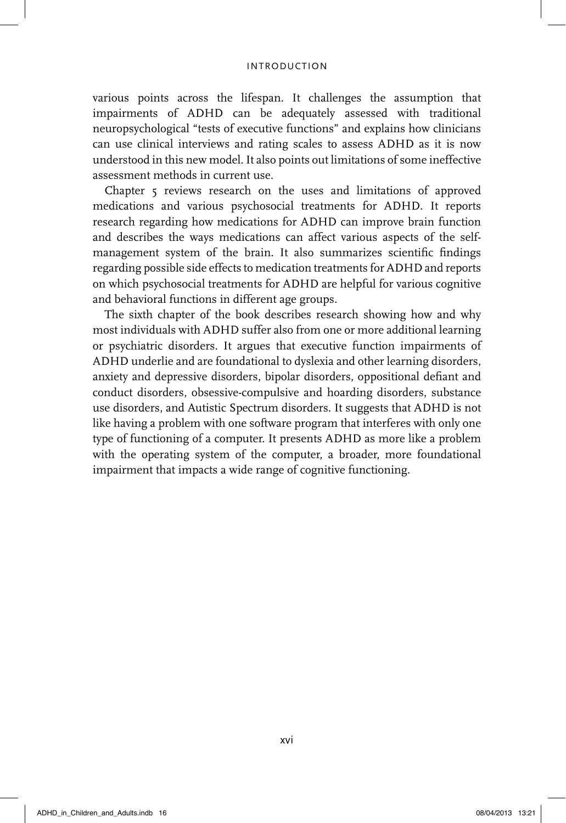#### introduction

various points across the lifespan. It challenges the assumption that impairments of ADHD can be adequately assessed with traditional neuropsychological "tests of executive functions" and explains how clinicians can use clinical interviews and rating scales to assess ADHD as it is now understood in this new model. It also points out limitations of some ineffective assessment methods in current use.

Chapter 5 reviews research on the uses and limitations of approved medications and various psychosocial treatments for ADHD. It reports research regarding how medications for ADHD can improve brain function and describes the ways medications can affect various aspects of the selfmanagement system of the brain. It also summarizes scientific findings regarding possible side effects to medication treatments for ADHD and reports on which psychosocial treatments for ADHD are helpful for various cognitive and behavioral functions in different age groups.

The sixth chapter of the book describes research showing how and why most individuals with ADHD suffer also from one or more additional learning or psychiatric disorders. It argues that executive function impairments of ADHD underlie and are foundational to dyslexia and other learning disorders, anxiety and depressive disorders, bipolar disorders, oppositional defiant and conduct disorders, obsessive-compulsive and hoarding disorders, substance use disorders, and Autistic Spectrum disorders. It suggests that ADHD is not like having a problem with one software program that interferes with only one type of functioning of a computer. It presents ADHD as more like a problem with the operating system of the computer, a broader, more foundational impairment that impacts a wide range of cognitive functioning.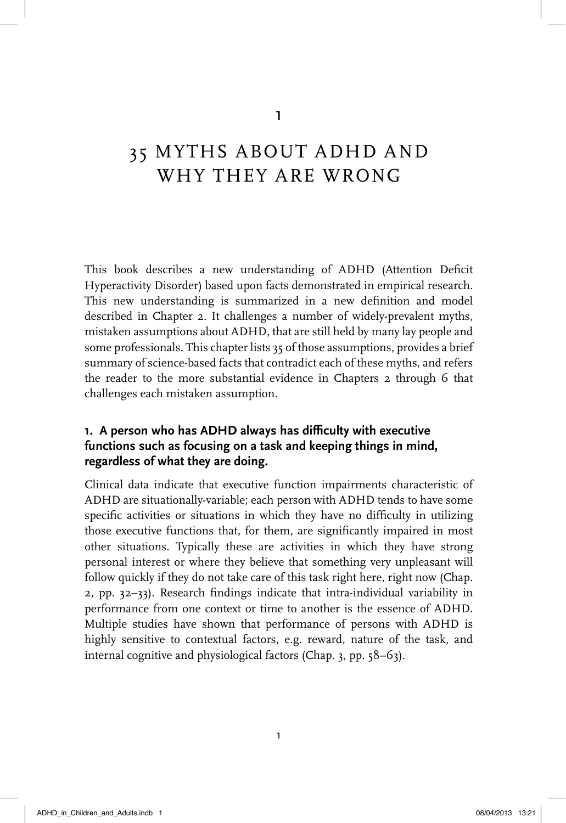1

## 35 Myths about ADHD and Why They Are Wrong

This book describes a new understanding of ADHD (Attention Deficit Hyperactivity Disorder) based upon facts demonstrated in empirical research. This new understanding is summarized in a new definition and model described in Chapter 2. It challenges a number of widely-prevalent myths, mistaken assumptions about ADHD, that are still held by many lay people and some professionals. This chapter lists 35 of those assumptions, provides a brief summary of science-based facts that contradict each of these myths, and refers the reader to the more substantial evidence in Chapters 2 through 6 that challenges each mistaken assumption.

## **1. A person who has ADHD always has difficulty with executive functions such as focusing on a task and keeping things in mind, regardless of what they are doing.**

Clinical data indicate that executive function impairments characteristic of ADHD are situationally-variable; each person with ADHD tends to have some specific activities or situations in which they have no difficulty in utilizing those executive functions that, for them, are significantly impaired in most other situations. Typically these are activities in which they have strong personal interest or where they believe that something very unpleasant will follow quickly if they do not take care of this task right here, right now (Chap. 2, pp. 32–33). Research findings indicate that intra-individual variability in performance from one context or time to another is the essence of ADHD. Multiple studies have shown that performance of persons with ADHD is highly sensitive to contextual factors, e.g. reward, nature of the task, and internal cognitive and physiological factors (Chap. 3, pp. 58–63).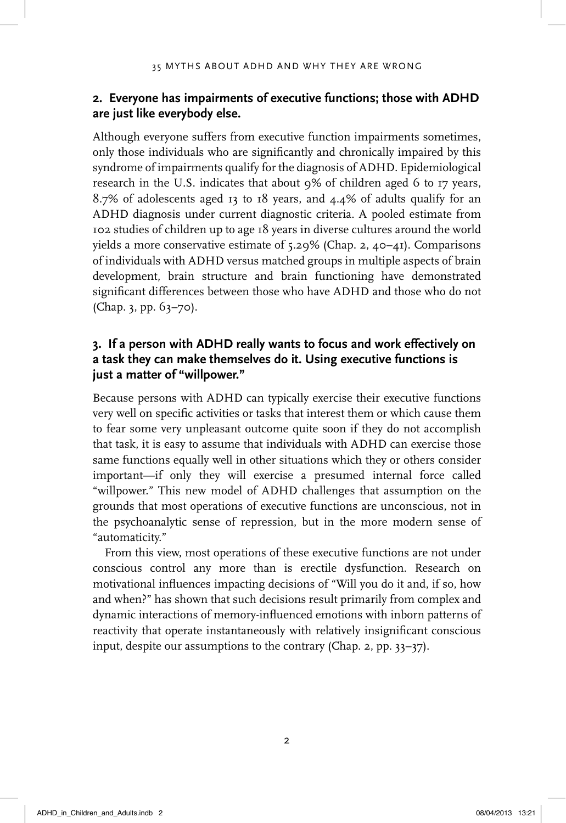#### **2. Everyone has impairments of executive functions; those with ADHD are just like everybody else.**

Although everyone suffers from executive function impairments sometimes, only those individuals who are significantly and chronically impaired by this syndrome of impairments qualify for the diagnosis of ADHD. Epidemiological research in the U.S. indicates that about 9% of children aged 6 to 17 years, 8.7% of adolescents aged 13 to 18 years, and 4.4% of adults qualify for an ADHD diagnosis under current diagnostic criteria. A pooled estimate from 102 studies of children up to age 18 years in diverse cultures around the world yields a more conservative estimate of 5.29% (Chap. 2, 40–41). Comparisons of individuals with ADHD versus matched groups in multiple aspects of brain development, brain structure and brain functioning have demonstrated significant differences between those who have ADHD and those who do not (Chap. 3, pp. 63–70).

### **3. If a person with ADHD really wants to focus and work effectively on a task they can make themselves do it. Using executive functions is just a matter of "willpower."**

Because persons with ADHD can typically exercise their executive functions very well on specific activities or tasks that interest them or which cause them to fear some very unpleasant outcome quite soon if they do not accomplish that task, it is easy to assume that individuals with ADHD can exercise those same functions equally well in other situations which they or others consider important—if only they will exercise a presumed internal force called "willpower." This new model of ADHD challenges that assumption on the grounds that most operations of executive functions are unconscious, not in the psychoanalytic sense of repression, but in the more modern sense of "automaticity."

From this view, most operations of these executive functions are not under conscious control any more than is erectile dysfunction. Research on motivational influences impacting decisions of "Will you do it and, if so, how and when?" has shown that such decisions result primarily from complex and dynamic interactions of memory-influenced emotions with inborn patterns of reactivity that operate instantaneously with relatively insignificant conscious input, despite our assumptions to the contrary (Chap. 2, pp. 33–37).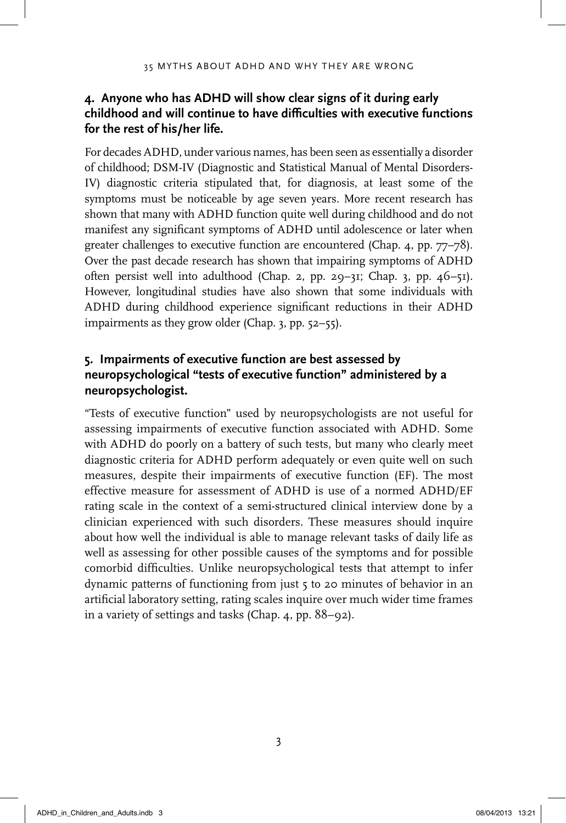#### **4. Anyone who has ADHD will show clear signs of it during early childhood and will continue to have difficulties with executive functions for the rest of his/her life.**

For decades ADHD, under various names, has been seen as essentially a disorder of childhood; DSM-IV (Diagnostic and Statistical Manual of Mental Disorders-IV) diagnostic criteria stipulated that, for diagnosis, at least some of the symptoms must be noticeable by age seven years. More recent research has shown that many with ADHD function quite well during childhood and do not manifest any significant symptoms of ADHD until adolescence or later when greater challenges to executive function are encountered (Chap. 4, pp. 77–78). Over the past decade research has shown that impairing symptoms of ADHD often persist well into adulthood (Chap. 2, pp. 29–31; Chap. 3, pp. 46–51). However, longitudinal studies have also shown that some individuals with ADHD during childhood experience significant reductions in their ADHD impairments as they grow older (Chap. 3, pp. 52–55).

## **5. Impairments of executive function are best assessed by neuropsychological "tests of executive function" administered by a neuropsychologist.**

"Tests of executive function" used by neuropsychologists are not useful for assessing impairments of executive function associated with ADHD. Some with ADHD do poorly on a battery of such tests, but many who clearly meet diagnostic criteria for ADHD perform adequately or even quite well on such measures, despite their impairments of executive function (EF). The most effective measure for assessment of ADHD is use of a normed ADHD/EF rating scale in the context of a semi-structured clinical interview done by a clinician experienced with such disorders. These measures should inquire about how well the individual is able to manage relevant tasks of daily life as well as assessing for other possible causes of the symptoms and for possible comorbid difficulties. Unlike neuropsychological tests that attempt to infer dynamic patterns of functioning from just 5 to 20 minutes of behavior in an artificial laboratory setting, rating scales inquire over much wider time frames in a variety of settings and tasks (Chap. 4, pp. 88–92).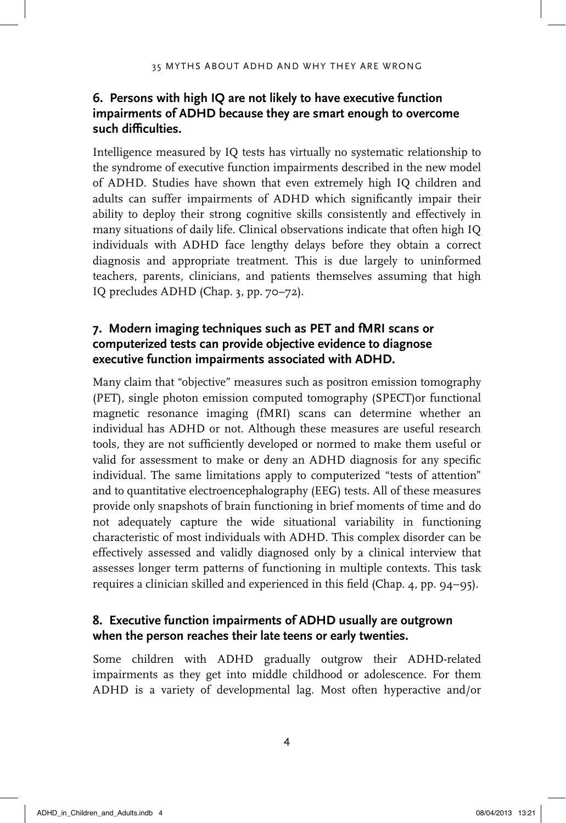### **6. Persons with high IQ are not likely to have executive function impairments of ADHD because they are smart enough to overcome such difficulties.**

Intelligence measured by IQ tests has virtually no systematic relationship to the syndrome of executive function impairments described in the new model of ADHD. Studies have shown that even extremely high IQ children and adults can suffer impairments of ADHD which significantly impair their ability to deploy their strong cognitive skills consistently and effectively in many situations of daily life. Clinical observations indicate that often high IQ individuals with ADHD face lengthy delays before they obtain a correct diagnosis and appropriate treatment. This is due largely to uninformed teachers, parents, clinicians, and patients themselves assuming that high IQ precludes ADHD (Chap. 3, pp. 70–72).

#### **7. Modern imaging techniques such as PET and fMRI scans or computerized tests can provide objective evidence to diagnose executive function impairments associated with ADHD.**

Many claim that "objective" measures such as positron emission tomography (PET), single photon emission computed tomography (SPECT)or functional magnetic resonance imaging (fMRI) scans can determine whether an individual has ADHD or not. Although these measures are useful research tools, they are not sufficiently developed or normed to make them useful or valid for assessment to make or deny an ADHD diagnosis for any specific individual. The same limitations apply to computerized "tests of attention" and to quantitative electroencephalography (EEG) tests. All of these measures provide only snapshots of brain functioning in brief moments of time and do not adequately capture the wide situational variability in functioning characteristic of most individuals with ADHD. This complex disorder can be effectively assessed and validly diagnosed only by a clinical interview that assesses longer term patterns of functioning in multiple contexts. This task requires a clinician skilled and experienced in this field (Chap. 4, pp. 94–95).

### **8. Executive function impairments of ADHD usually are outgrown when the person reaches their late teens or early twenties.**

Some children with ADHD gradually outgrow their ADHD-related impairments as they get into middle childhood or adolescence. For them ADHD is a variety of developmental lag. Most often hyperactive and/or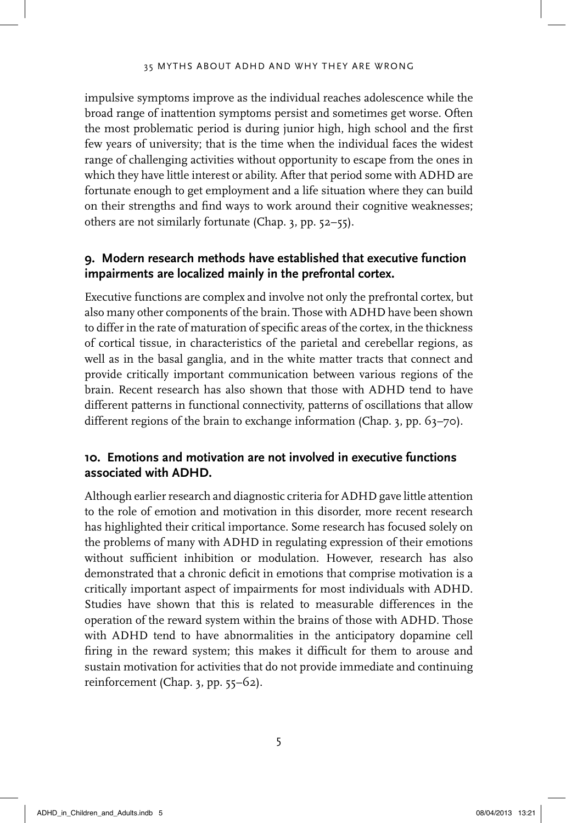#### 35 Myths about ADHD and Why They Are Wrong

impulsive symptoms improve as the individual reaches adolescence while the broad range of inattention symptoms persist and sometimes get worse. Often the most problematic period is during junior high, high school and the first few years of university; that is the time when the individual faces the widest range of challenging activities without opportunity to escape from the ones in which they have little interest or ability. After that period some with ADHD are fortunate enough to get employment and a life situation where they can build on their strengths and find ways to work around their cognitive weaknesses; others are not similarly fortunate (Chap. 3, pp. 52–55).

#### **9. Modern research methods have established that executive function impairments are localized mainly in the prefrontal cortex.**

Executive functions are complex and involve not only the prefrontal cortex, but also many other components of the brain. Those with ADHD have been shown to differ in the rate of maturation of specific areas of the cortex, in the thickness of cortical tissue, in characteristics of the parietal and cerebellar regions, as well as in the basal ganglia, and in the white matter tracts that connect and provide critically important communication between various regions of the brain. Recent research has also shown that those with ADHD tend to have different patterns in functional connectivity, patterns of oscillations that allow different regions of the brain to exchange information (Chap. 3, pp. 63–70).

#### **10. Emotions and motivation are not involved in executive functions associated with ADHD.**

Although earlier research and diagnostic criteria for ADHD gave little attention to the role of emotion and motivation in this disorder, more recent research has highlighted their critical importance. Some research has focused solely on the problems of many with ADHD in regulating expression of their emotions without sufficient inhibition or modulation. However, research has also demonstrated that a chronic deficit in emotions that comprise motivation is a critically important aspect of impairments for most individuals with ADHD. Studies have shown that this is related to measurable differences in the operation of the reward system within the brains of those with ADHD. Those with ADHD tend to have abnormalities in the anticipatory dopamine cell firing in the reward system; this makes it difficult for them to arouse and sustain motivation for activities that do not provide immediate and continuing reinforcement (Chap. 3, pp. 55–62).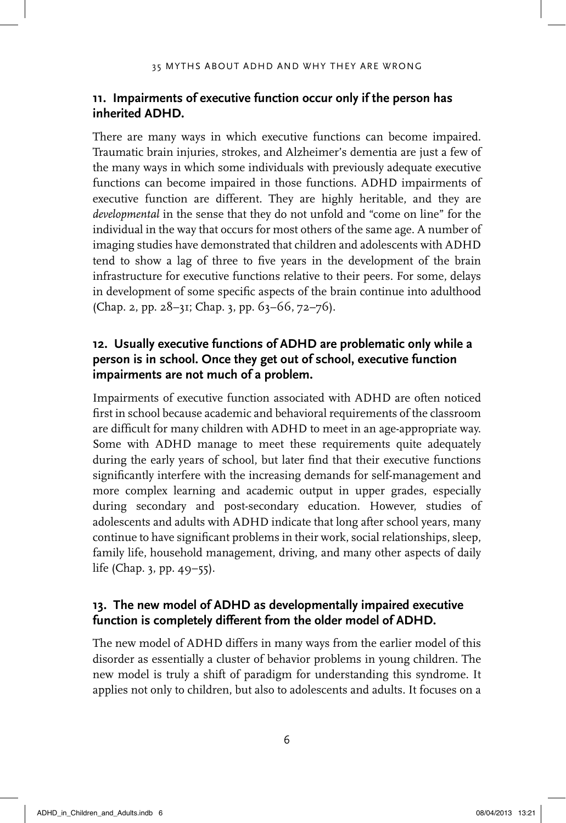#### **11. Impairments of executive function occur only if the person has inherited ADHD.**

There are many ways in which executive functions can become impaired. Traumatic brain injuries, strokes, and Alzheimer's dementia are just a few of the many ways in which some individuals with previously adequate executive functions can become impaired in those functions. ADHD impairments of executive function are different. They are highly heritable, and they are *developmental* in the sense that they do not unfold and "come on line" for the individual in the way that occurs for most others of the same age. A number of imaging studies have demonstrated that children and adolescents with ADHD tend to show a lag of three to five years in the development of the brain infrastructure for executive functions relative to their peers. For some, delays in development of some specific aspects of the brain continue into adulthood (Chap. 2, pp. 28–31; Chap. 3, pp. 63–66, 72–76).

### **12. Usually executive functions of ADHD are problematic only while a person is in school. Once they get out of school, executive function impairments are not much of a problem.**

Impairments of executive function associated with ADHD are often noticed first in school because academic and behavioral requirements of the classroom are difficult for many children with ADHD to meet in an age-appropriate way. Some with ADHD manage to meet these requirements quite adequately during the early years of school, but later find that their executive functions significantly interfere with the increasing demands for self-management and more complex learning and academic output in upper grades, especially during secondary and post-secondary education. However, studies of adolescents and adults with ADHD indicate that long after school years, many continue to have significant problems in their work, social relationships, sleep, family life, household management, driving, and many other aspects of daily life (Chap. 3, pp. 49–55).

#### **13. The new model of ADHD as developmentally impaired executive function is completely different from the older model of ADHD.**

The new model of ADHD differs in many ways from the earlier model of this disorder as essentially a cluster of behavior problems in young children. The new model is truly a shift of paradigm for understanding this syndrome. It applies not only to children, but also to adolescents and adults. It focuses on a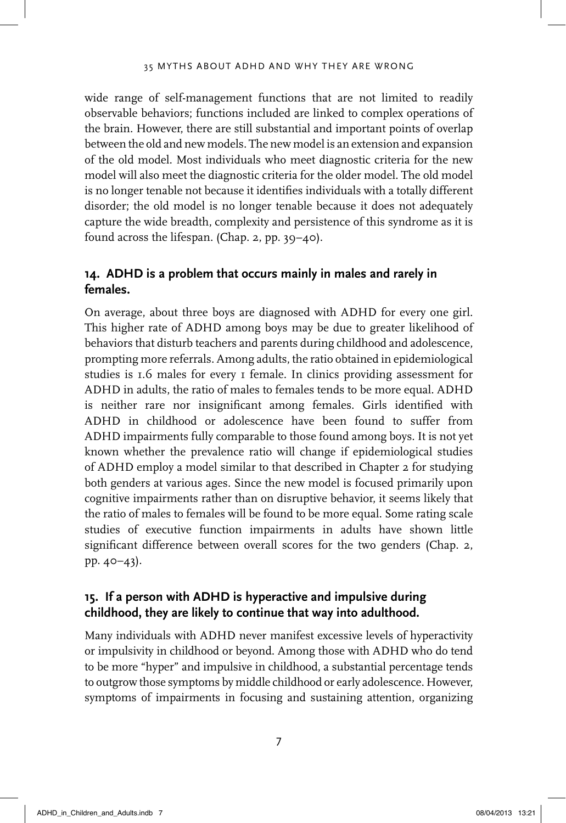wide range of self-management functions that are not limited to readily observable behaviors; functions included are linked to complex operations of the brain. However, there are still substantial and important points of overlap between the old and new models. The new model is an extension and expansion of the old model. Most individuals who meet diagnostic criteria for the new model will also meet the diagnostic criteria for the older model. The old model is no longer tenable not because it identifies individuals with a totally different disorder; the old model is no longer tenable because it does not adequately capture the wide breadth, complexity and persistence of this syndrome as it is found across the lifespan. (Chap. 2, pp. 39–40).

#### **14. ADHD is a problem that occurs mainly in males and rarely in females.**

On average, about three boys are diagnosed with ADHD for every one girl. This higher rate of ADHD among boys may be due to greater likelihood of behaviors that disturb teachers and parents during childhood and adolescence, prompting more referrals. Among adults, the ratio obtained in epidemiological studies is 1.6 males for every 1 female. In clinics providing assessment for ADHD in adults, the ratio of males to females tends to be more equal. ADHD is neither rare nor insignificant among females. Girls identified with ADHD in childhood or adolescence have been found to suffer from ADHD impairments fully comparable to those found among boys. It is not yet known whether the prevalence ratio will change if epidemiological studies of ADHD employ a model similar to that described in Chapter 2 for studying both genders at various ages. Since the new model is focused primarily upon cognitive impairments rather than on disruptive behavior, it seems likely that the ratio of males to females will be found to be more equal. Some rating scale studies of executive function impairments in adults have shown little significant difference between overall scores for the two genders (Chap. 2, pp. 40–43).

#### **15. If a person with ADHD is hyperactive and impulsive during childhood, they are likely to continue that way into adulthood.**

Many individuals with ADHD never manifest excessive levels of hyperactivity or impulsivity in childhood or beyond. Among those with ADHD who do tend to be more "hyper" and impulsive in childhood, a substantial percentage tends to outgrow those symptoms by middle childhood or early adolescence. However, symptoms of impairments in focusing and sustaining attention, organizing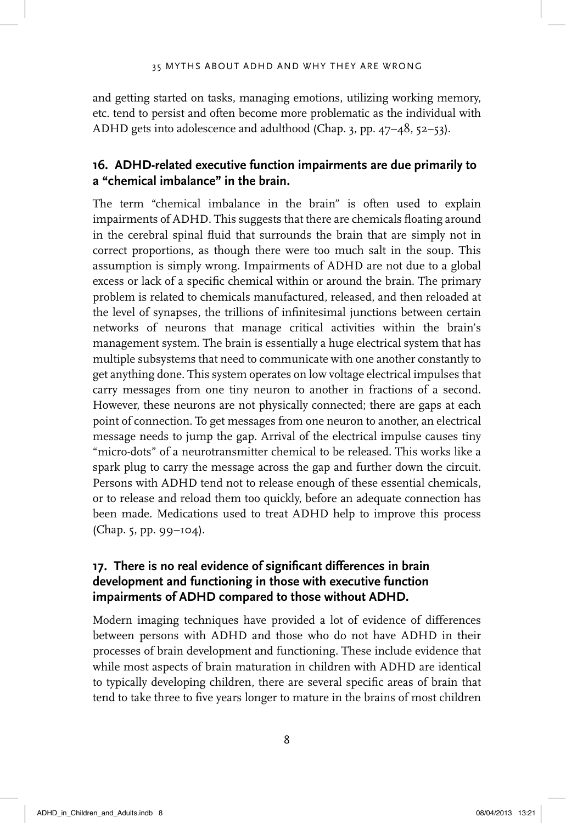and getting started on tasks, managing emotions, utilizing working memory, etc. tend to persist and often become more problematic as the individual with ADHD gets into adolescence and adulthood (Chap. 3, pp. 47–48, 52–53).

#### **16. ADHD-related executive function impairments are due primarily to a "chemical imbalance" in the brain.**

The term "chemical imbalance in the brain" is often used to explain impairments of ADHD. This suggests that there are chemicals floating around in the cerebral spinal fluid that surrounds the brain that are simply not in correct proportions, as though there were too much salt in the soup. This assumption is simply wrong. Impairments of ADHD are not due to a global excess or lack of a specific chemical within or around the brain. The primary problem is related to chemicals manufactured, released, and then reloaded at the level of synapses, the trillions of infinitesimal junctions between certain networks of neurons that manage critical activities within the brain's management system. The brain is essentially a huge electrical system that has multiple subsystems that need to communicate with one another constantly to get anything done. This system operates on low voltage electrical impulses that carry messages from one tiny neuron to another in fractions of a second. However, these neurons are not physically connected; there are gaps at each point of connection. To get messages from one neuron to another, an electrical message needs to jump the gap. Arrival of the electrical impulse causes tiny "micro-dots" of a neurotransmitter chemical to be released. This works like a spark plug to carry the message across the gap and further down the circuit. Persons with ADHD tend not to release enough of these essential chemicals, or to release and reload them too quickly, before an adequate connection has been made. Medications used to treat ADHD help to improve this process (Chap. 5, pp. 99–104).

#### **17. There is no real evidence of significant differences in brain development and functioning in those with executive function impairments of ADHD compared to those without ADHD.**

Modern imaging techniques have provided a lot of evidence of differences between persons with ADHD and those who do not have ADHD in their processes of brain development and functioning. These include evidence that while most aspects of brain maturation in children with ADHD are identical to typically developing children, there are several specific areas of brain that tend to take three to five years longer to mature in the brains of most children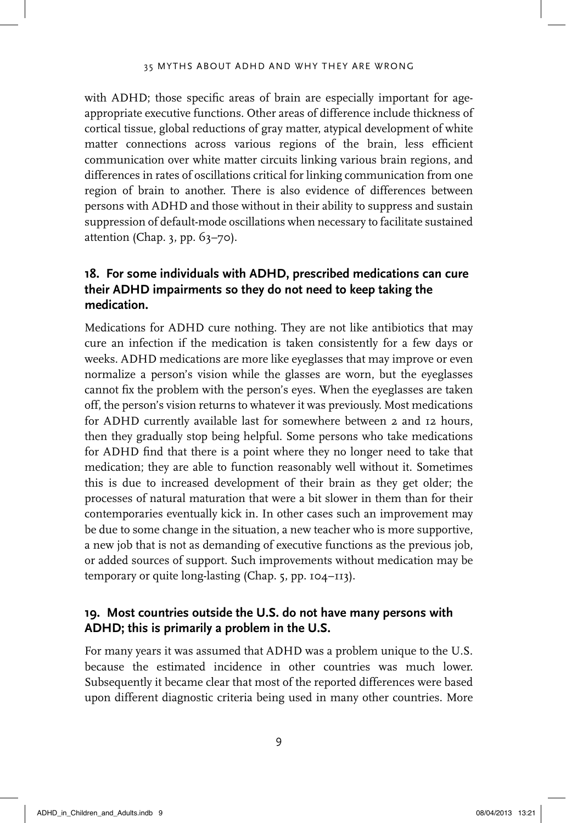#### 35 Myths about ADHD and Why They Are Wrong

with ADHD; those specific areas of brain are especially important for ageappropriate executive functions. Other areas of difference include thickness of cortical tissue, global reductions of gray matter, atypical development of white matter connections across various regions of the brain, less efficient communication over white matter circuits linking various brain regions, and differences in rates of oscillations critical for linking communication from one region of brain to another. There is also evidence of differences between persons with ADHD and those without in their ability to suppress and sustain suppression of default-mode oscillations when necessary to facilitate sustained attention (Chap. 3, pp. 63–70).

### **18. For some individuals with ADHD, prescribed medications can cure their ADHD impairments so they do not need to keep taking the medication.**

Medications for ADHD cure nothing. They are not like antibiotics that may cure an infection if the medication is taken consistently for a few days or weeks. ADHD medications are more like eyeglasses that may improve or even normalize a person's vision while the glasses are worn, but the eyeglasses cannot fix the problem with the person's eyes. When the eyeglasses are taken off, the person's vision returns to whatever it was previously. Most medications for ADHD currently available last for somewhere between 2 and 12 hours, then they gradually stop being helpful. Some persons who take medications for ADHD find that there is a point where they no longer need to take that medication; they are able to function reasonably well without it. Sometimes this is due to increased development of their brain as they get older; the processes of natural maturation that were a bit slower in them than for their contemporaries eventually kick in. In other cases such an improvement may be due to some change in the situation, a new teacher who is more supportive, a new job that is not as demanding of executive functions as the previous job, or added sources of support. Such improvements without medication may be temporary or quite long-lasting (Chap. 5, pp. 104–113).

#### **19. Most countries outside the U.S. do not have many persons with ADHD; this is primarily a problem in the U.S.**

For many years it was assumed that ADHD was a problem unique to the U.S. because the estimated incidence in other countries was much lower. Subsequently it became clear that most of the reported differences were based upon different diagnostic criteria being used in many other countries. More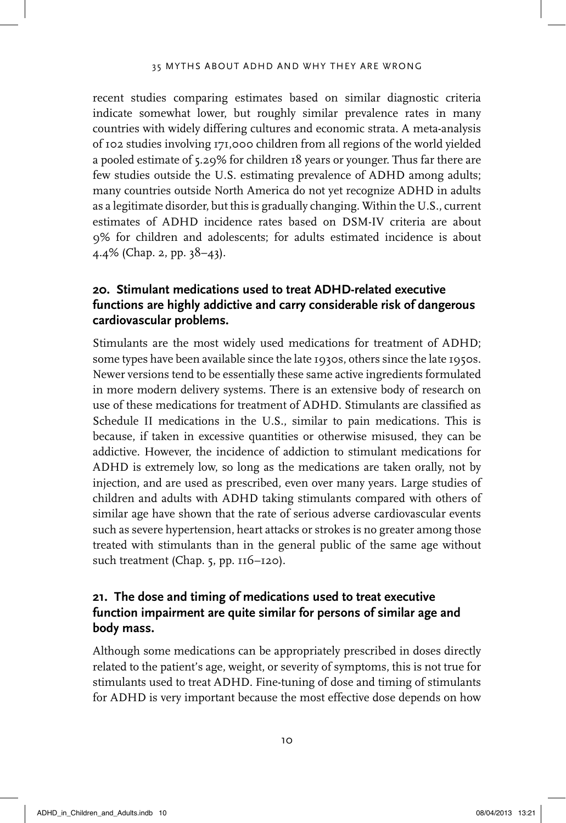recent studies comparing estimates based on similar diagnostic criteria indicate somewhat lower, but roughly similar prevalence rates in many countries with widely differing cultures and economic strata. A meta-analysis of 102 studies involving 171,000 children from all regions of the world yielded a pooled estimate of 5.29% for children 18 years or younger. Thus far there are few studies outside the U.S. estimating prevalence of ADHD among adults; many countries outside North America do not yet recognize ADHD in adults as a legitimate disorder, but this is gradually changing. Within the U.S., current estimates of ADHD incidence rates based on DSM-IV criteria are about 9% for children and adolescents; for adults estimated incidence is about 4.4% (Chap. 2, pp. 38–43).

### **20. Stimulant medications used to treat ADHD-related executive functions are highly addictive and carry considerable risk of dangerous cardiovascular problems.**

Stimulants are the most widely used medications for treatment of ADHD; some types have been available since the late 1930s, others since the late 1950s. Newer versions tend to be essentially these same active ingredients formulated in more modern delivery systems. There is an extensive body of research on use of these medications for treatment of ADHD. Stimulants are classified as Schedule II medications in the U.S., similar to pain medications. This is because, if taken in excessive quantities or otherwise misused, they can be addictive. However, the incidence of addiction to stimulant medications for ADHD is extremely low, so long as the medications are taken orally, not by injection, and are used as prescribed, even over many years. Large studies of children and adults with ADHD taking stimulants compared with others of similar age have shown that the rate of serious adverse cardiovascular events such as severe hypertension, heart attacks or strokes is no greater among those treated with stimulants than in the general public of the same age without such treatment (Chap. 5, pp.  $116-120$ ).

#### **21. The dose and timing of medications used to treat executive function impairment are quite similar for persons of similar age and body mass.**

Although some medications can be appropriately prescribed in doses directly related to the patient's age, weight, or severity of symptoms, this is not true for stimulants used to treat ADHD. Fine-tuning of dose and timing of stimulants for ADHD is very important because the most effective dose depends on how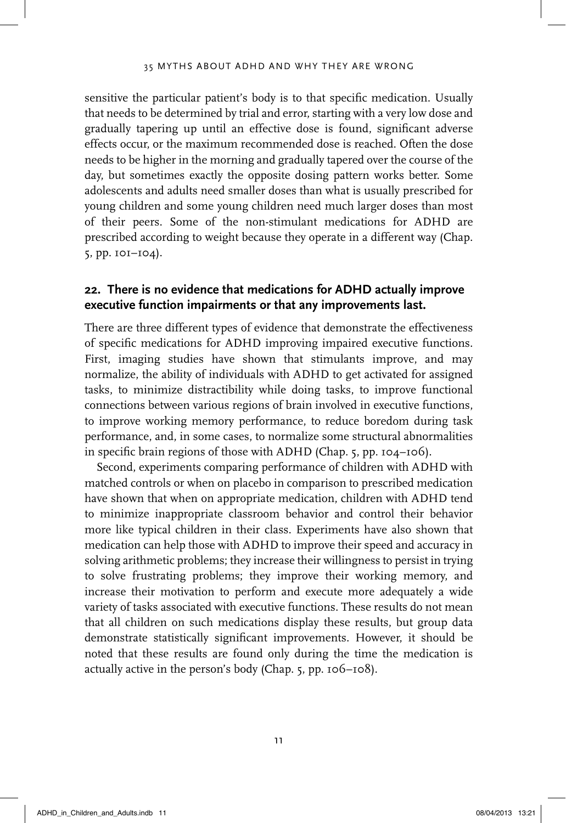sensitive the particular patient's body is to that specific medication. Usually that needs to be determined by trial and error, starting with a very low dose and gradually tapering up until an effective dose is found, significant adverse effects occur, or the maximum recommended dose is reached. Often the dose needs to be higher in the morning and gradually tapered over the course of the day, but sometimes exactly the opposite dosing pattern works better. Some adolescents and adults need smaller doses than what is usually prescribed for young children and some young children need much larger doses than most of their peers. Some of the non-stimulant medications for ADHD are prescribed according to weight because they operate in a different way (Chap. 5, pp. 101–104).

#### **22. There is no evidence that medications for ADHD actually improve executive function impairments or that any improvements last.**

There are three different types of evidence that demonstrate the effectiveness of specific medications for ADHD improving impaired executive functions. First, imaging studies have shown that stimulants improve, and may normalize, the ability of individuals with ADHD to get activated for assigned tasks, to minimize distractibility while doing tasks, to improve functional connections between various regions of brain involved in executive functions, to improve working memory performance, to reduce boredom during task performance, and, in some cases, to normalize some structural abnormalities in specific brain regions of those with ADHD (Chap. 5, pp. 104–106).

Second, experiments comparing performance of children with ADHD with matched controls or when on placebo in comparison to prescribed medication have shown that when on appropriate medication, children with ADHD tend to minimize inappropriate classroom behavior and control their behavior more like typical children in their class. Experiments have also shown that medication can help those with ADHD to improve their speed and accuracy in solving arithmetic problems; they increase their willingness to persist in trying to solve frustrating problems; they improve their working memory, and increase their motivation to perform and execute more adequately a wide variety of tasks associated with executive functions. These results do not mean that all children on such medications display these results, but group data demonstrate statistically significant improvements. However, it should be noted that these results are found only during the time the medication is actually active in the person's body (Chap. 5, pp. 106–108).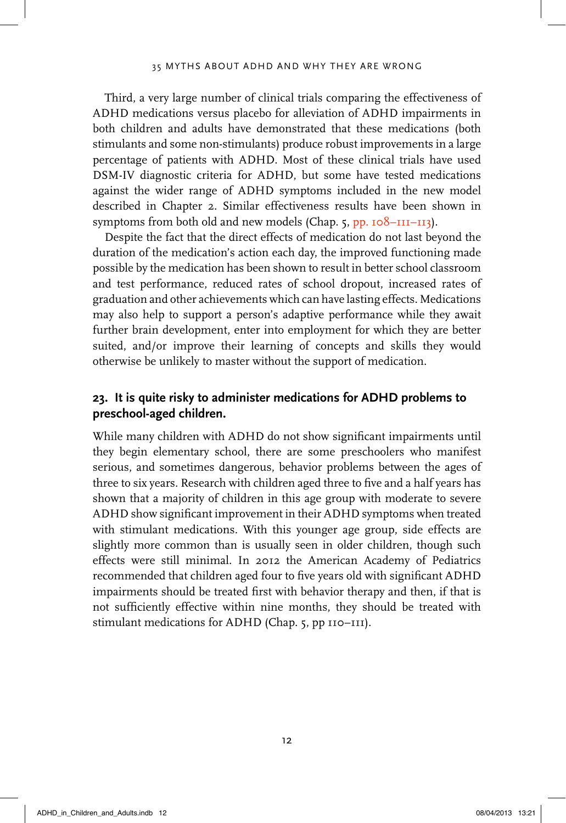Third, a very large number of clinical trials comparing the effectiveness of ADHD medications versus placebo for alleviation of ADHD impairments in both children and adults have demonstrated that these medications (both stimulants and some non-stimulants) produce robust improvements in a large percentage of patients with ADHD. Most of these clinical trials have used DSM-IV diagnostic criteria for ADHD, but some have tested medications against the wider range of ADHD symptoms included in the new model described in Chapter 2. Similar effectiveness results have been shown in symptoms from both old and new models (Chap. 5, pp. 108–111–113).

Despite the fact that the direct effects of medication do not last beyond the duration of the medication's action each day, the improved functioning made possible by the medication has been shown to result in better school classroom and test performance, reduced rates of school dropout, increased rates of graduation and other achievements which can have lasting effects. Medications may also help to support a person's adaptive performance while they await further brain development, enter into employment for which they are better suited, and/or improve their learning of concepts and skills they would otherwise be unlikely to master without the support of medication.

#### **23. It is quite risky to administer medications for ADHD problems to preschool-aged children.**

While many children with ADHD do not show significant impairments until they begin elementary school, there are some preschoolers who manifest serious, and sometimes dangerous, behavior problems between the ages of three to six years. Research with children aged three to five and a half years has shown that a majority of children in this age group with moderate to severe ADHD show significant improvement in their ADHD symptoms when treated with stimulant medications. With this younger age group, side effects are slightly more common than is usually seen in older children, though such effects were still minimal. In 2012 the American Academy of Pediatrics recommended that children aged four to five years old with significant ADHD impairments should be treated first with behavior therapy and then, if that is not sufficiently effective within nine months, they should be treated with stimulant medications for ADHD (Chap. 5, pp 110–111).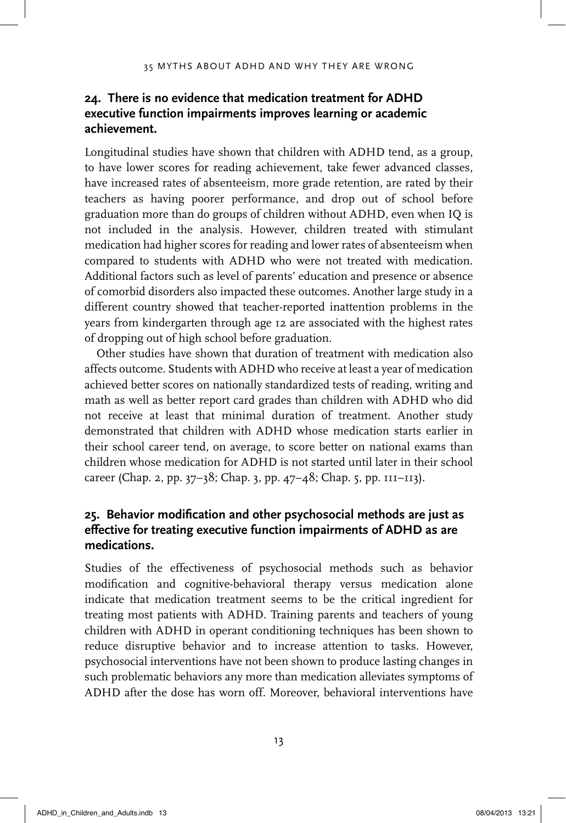### **24. There is no evidence that medication treatment for ADHD executive function impairments improves learning or academic achievement.**

Longitudinal studies have shown that children with ADHD tend, as a group, to have lower scores for reading achievement, take fewer advanced classes, have increased rates of absenteeism, more grade retention, are rated by their teachers as having poorer performance, and drop out of school before graduation more than do groups of children without ADHD, even when IQ is not included in the analysis. However, children treated with stimulant medication had higher scores for reading and lower rates of absenteeism when compared to students with ADHD who were not treated with medication. Additional factors such as level of parents' education and presence or absence of comorbid disorders also impacted these outcomes. Another large study in a different country showed that teacher-reported inattention problems in the years from kindergarten through age 12 are associated with the highest rates of dropping out of high school before graduation.

Other studies have shown that duration of treatment with medication also affects outcome. Students with ADHD who receive at least a year of medication achieved better scores on nationally standardized tests of reading, writing and math as well as better report card grades than children with ADHD who did not receive at least that minimal duration of treatment. Another study demonstrated that children with ADHD whose medication starts earlier in their school career tend, on average, to score better on national exams than children whose medication for ADHD is not started until later in their school career (Chap. 2, pp. 37–38; Chap. 3, pp. 47–48; Chap. 5, pp. 111–113).

### **25. Behavior modification and other psychosocial methods are just as effective for treating executive function impairments of ADHD as are medications.**

Studies of the effectiveness of psychosocial methods such as behavior modification and cognitive-behavioral therapy versus medication alone indicate that medication treatment seems to be the critical ingredient for treating most patients with ADHD. Training parents and teachers of young children with ADHD in operant conditioning techniques has been shown to reduce disruptive behavior and to increase attention to tasks. However, psychosocial interventions have not been shown to produce lasting changes in such problematic behaviors any more than medication alleviates symptoms of ADHD after the dose has worn off. Moreover, behavioral interventions have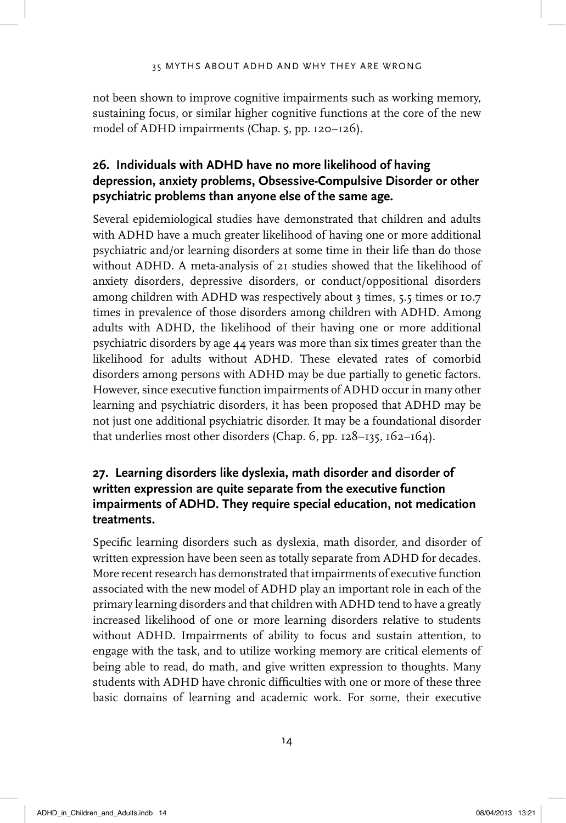not been shown to improve cognitive impairments such as working memory, sustaining focus, or similar higher cognitive functions at the core of the new model of ADHD impairments (Chap. 5, pp. 120–126).

#### **26. Individuals with ADHD have no more likelihood of having depression, anxiety problems, Obsessive-Compulsive Disorder or other psychiatric problems than anyone else of the same age.**

Several epidemiological studies have demonstrated that children and adults with ADHD have a much greater likelihood of having one or more additional psychiatric and/or learning disorders at some time in their life than do those without ADHD. A meta-analysis of 21 studies showed that the likelihood of anxiety disorders, depressive disorders, or conduct/oppositional disorders among children with ADHD was respectively about 3 times, 5.5 times or 10.7 times in prevalence of those disorders among children with ADHD. Among adults with ADHD, the likelihood of their having one or more additional psychiatric disorders by age 44 years was more than six times greater than the likelihood for adults without ADHD. These elevated rates of comorbid disorders among persons with ADHD may be due partially to genetic factors. However, since executive function impairments of ADHD occur in many other learning and psychiatric disorders, it has been proposed that ADHD may be not just one additional psychiatric disorder. It may be a foundational disorder that underlies most other disorders (Chap. 6, pp. 128–135, 162–164).

### **27. Learning disorders like dyslexia, math disorder and disorder of written expression are quite separate from the executive function impairments of ADHD. They require special education, not medication treatments.**

Specific learning disorders such as dyslexia, math disorder, and disorder of written expression have been seen as totally separate from ADHD for decades. More recent research has demonstrated that impairments of executive function associated with the new model of ADHD play an important role in each of the primary learning disorders and that children with ADHD tend to have a greatly increased likelihood of one or more learning disorders relative to students without ADHD. Impairments of ability to focus and sustain attention, to engage with the task, and to utilize working memory are critical elements of being able to read, do math, and give written expression to thoughts. Many students with ADHD have chronic difficulties with one or more of these three basic domains of learning and academic work. For some, their executive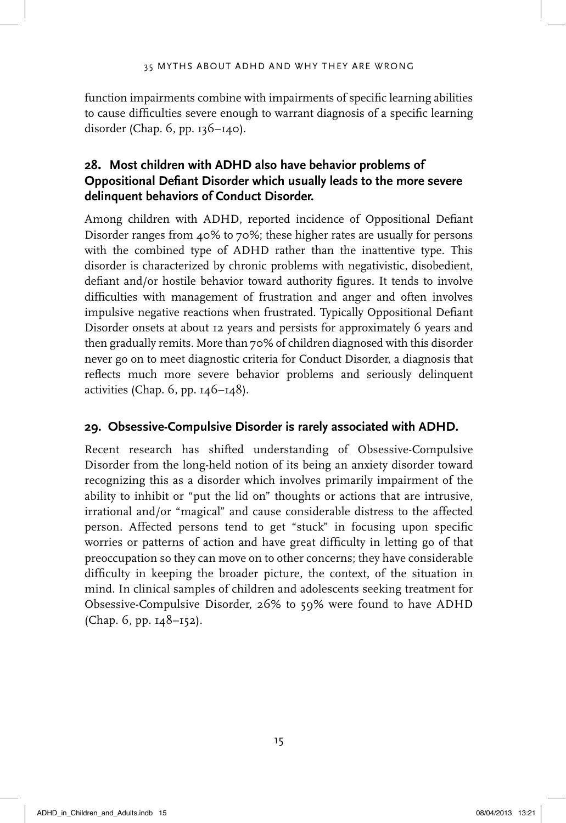function impairments combine with impairments of specific learning abilities to cause difficulties severe enough to warrant diagnosis of a specific learning disorder (Chap. 6, pp. 136–140).

#### **28. Most children with ADHD also have behavior problems of Oppositional Defiant Disorder which usually leads to the more severe delinquent behaviors of Conduct Disorder.**

Among children with ADHD, reported incidence of Oppositional Defiant Disorder ranges from 40% to 70%; these higher rates are usually for persons with the combined type of ADHD rather than the inattentive type. This disorder is characterized by chronic problems with negativistic, disobedient, defiant and/or hostile behavior toward authority figures. It tends to involve difficulties with management of frustration and anger and often involves impulsive negative reactions when frustrated. Typically Oppositional Defiant Disorder onsets at about 12 years and persists for approximately 6 years and then gradually remits. More than 70% of children diagnosed with this disorder never go on to meet diagnostic criteria for Conduct Disorder, a diagnosis that reflects much more severe behavior problems and seriously delinquent activities (Chap. 6, pp. 146–148).

#### **29. Obsessive-Compulsive Disorder is rarely associated with ADHD.**

Recent research has shifted understanding of Obsessive-Compulsive Disorder from the long-held notion of its being an anxiety disorder toward recognizing this as a disorder which involves primarily impairment of the ability to inhibit or "put the lid on" thoughts or actions that are intrusive, irrational and/or "magical" and cause considerable distress to the affected person. Affected persons tend to get "stuck" in focusing upon specific worries or patterns of action and have great difficulty in letting go of that preoccupation so they can move on to other concerns; they have considerable difficulty in keeping the broader picture, the context, of the situation in mind. In clinical samples of children and adolescents seeking treatment for Obsessive-Compulsive Disorder, 26% to 59% were found to have ADHD (Chap. 6, pp. 148–152).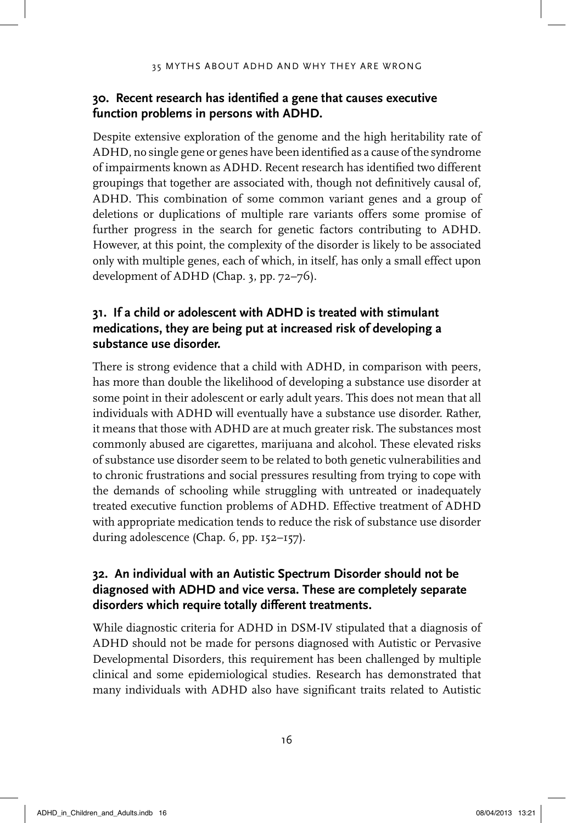#### **30. Recent research has identified a gene that causes executive function problems in persons with ADHD.**

Despite extensive exploration of the genome and the high heritability rate of ADHD, no single gene or genes have been identified as a cause of the syndrome of impairments known as ADHD. Recent research has identified two different groupings that together are associated with, though not definitively causal of, ADHD. This combination of some common variant genes and a group of deletions or duplications of multiple rare variants offers some promise of further progress in the search for genetic factors contributing to ADHD. However, at this point, the complexity of the disorder is likely to be associated only with multiple genes, each of which, in itself, has only a small effect upon development of ADHD (Chap. 3, pp. 72–76).

## **31. If a child or adolescent with ADHD is treated with stimulant medications, they are being put at increased risk of developing a substance use disorder.**

There is strong evidence that a child with ADHD, in comparison with peers, has more than double the likelihood of developing a substance use disorder at some point in their adolescent or early adult years. This does not mean that all individuals with ADHD will eventually have a substance use disorder. Rather, it means that those with ADHD are at much greater risk. The substances most commonly abused are cigarettes, marijuana and alcohol. These elevated risks of substance use disorder seem to be related to both genetic vulnerabilities and to chronic frustrations and social pressures resulting from trying to cope with the demands of schooling while struggling with untreated or inadequately treated executive function problems of ADHD. Effective treatment of ADHD with appropriate medication tends to reduce the risk of substance use disorder during adolescence (Chap. 6, pp. 152–157).

## **32. An individual with an Autistic Spectrum Disorder should not be diagnosed with ADHD and vice versa. These are completely separate disorders which require totally different treatments.**

While diagnostic criteria for ADHD in DSM-IV stipulated that a diagnosis of ADHD should not be made for persons diagnosed with Autistic or Pervasive Developmental Disorders, this requirement has been challenged by multiple clinical and some epidemiological studies. Research has demonstrated that many individuals with ADHD also have significant traits related to Autistic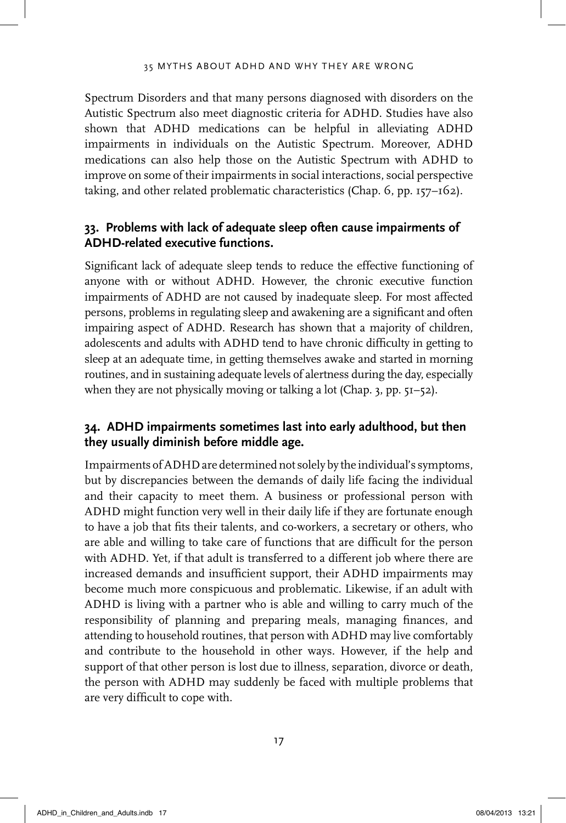Spectrum Disorders and that many persons diagnosed with disorders on the Autistic Spectrum also meet diagnostic criteria for ADHD. Studies have also shown that ADHD medications can be helpful in alleviating ADHD impairments in individuals on the Autistic Spectrum. Moreover, ADHD medications can also help those on the Autistic Spectrum with ADHD to improve on some of their impairments in social interactions, social perspective taking, and other related problematic characteristics (Chap. 6, pp. 157–162).

#### **33. Problems with lack of adequate sleep often cause impairments of ADHD-related executive functions.**

Significant lack of adequate sleep tends to reduce the effective functioning of anyone with or without ADHD. However, the chronic executive function impairments of ADHD are not caused by inadequate sleep. For most affected persons, problems in regulating sleep and awakening are a significant and often impairing aspect of ADHD. Research has shown that a majority of children, adolescents and adults with ADHD tend to have chronic difficulty in getting to sleep at an adequate time, in getting themselves awake and started in morning routines, and in sustaining adequate levels of alertness during the day, especially when they are not physically moving or talking a lot (Chap. 3, pp. 51–52).

#### **34. ADHD impairments sometimes last into early adulthood, but then they usually diminish before middle age.**

Impairments of ADHD are determined not solely by the individual's symptoms, but by discrepancies between the demands of daily life facing the individual and their capacity to meet them. A business or professional person with ADHD might function very well in their daily life if they are fortunate enough to have a job that fits their talents, and co-workers, a secretary or others, who are able and willing to take care of functions that are difficult for the person with ADHD. Yet, if that adult is transferred to a different job where there are increased demands and insufficient support, their ADHD impairments may become much more conspicuous and problematic. Likewise, if an adult with ADHD is living with a partner who is able and willing to carry much of the responsibility of planning and preparing meals, managing finances, and attending to household routines, that person with ADHD may live comfortably and contribute to the household in other ways. However, if the help and support of that other person is lost due to illness, separation, divorce or death, the person with ADHD may suddenly be faced with multiple problems that are very difficult to cope with.